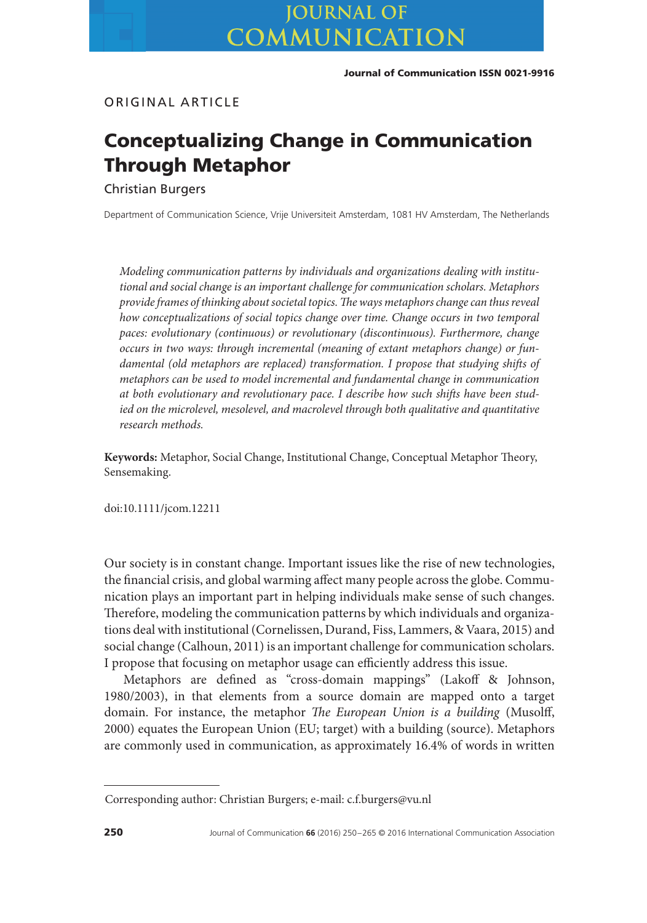ORIGINAL ARTICLE

# **Conceptualizing Change in Communication Through Metaphor**

Christian Burgers

Department of Communication Science, Vrije Universiteit Amsterdam, 1081 HV Amsterdam, The Netherlands

*Modeling communication patterns by individuals and organizations dealing with institutional and social change is an important challenge for communication scholars. Metaphors provide frames of thinking about societal topics.The ways metaphors change can thus reveal how conceptualizations of social topics change over time. Change occurs in two temporal paces: evolutionary (continuous) or revolutionary (discontinuous). Furthermore, change occurs in two ways: through incremental (meaning of extant metaphors change) or fundamental (old metaphors are replaced) transformation. I propose that studying shifts of metaphors can be used to model incremental and fundamental change in communication at both evolutionary and revolutionary pace. I describe how such shifts have been studied on the microlevel, mesolevel, and macrolevel through both qualitative and quantitative research methods.*

**Keywords:** Metaphor, Social Change, Institutional Change, Conceptual Metaphor Theory, Sensemaking.

doi:10.1111/jcom.12211

Our society is in constant change. Important issues like the rise of new technologies, the financial crisis, and global warming affect many people across the globe. Communication plays an important part in helping individuals make sense of such changes. Therefore, modeling the communication patterns by which individuals and organizations deal with institutional (Cornelissen, Durand, Fiss, Lammers, & Vaara, 2015) and social change (Calhoun, 2011) is an important challenge for communication scholars. I propose that focusing on metaphor usage can efficiently address this issue.

Metaphors are defined as "cross-domain mappings" (Lakoff & Johnson, 1980/2003), in that elements from a source domain are mapped onto a target domain. For instance, the metaphor *The European Union is a building* (Musolff, 2000) equates the European Union (EU; target) with a building (source). Metaphors are commonly used in communication, as approximately 16.4% of words in written

Corresponding author: Christian Burgers; e-mail: c.f.burgers@vu.nl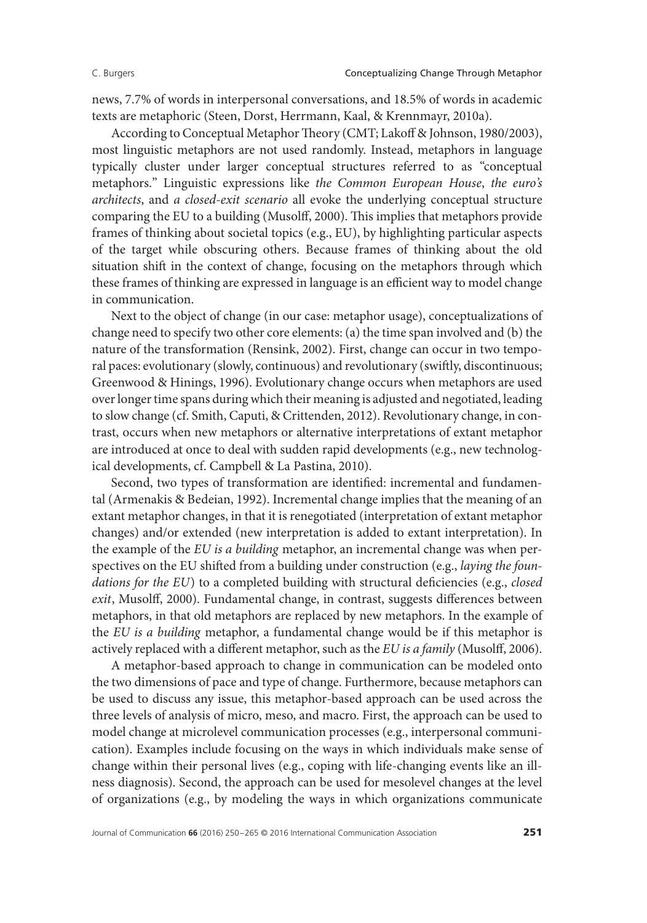news, 7.7% of words in interpersonal conversations, and 18.5% of words in academic texts are metaphoric (Steen, Dorst, Herrmann, Kaal, & Krennmayr, 2010a).

According to Conceptual Metaphor Theory (CMT; Lakoff & Johnson, 1980/2003), most linguistic metaphors are not used randomly. Instead, metaphors in language typically cluster under larger conceptual structures referred to as "conceptual metaphors." Linguistic expressions like *the Common European House*, *the euro's architects*, and *a closed-exit scenario* all evoke the underlying conceptual structure comparing the EU to a building (Musolff, 2000). This implies that metaphors provide frames of thinking about societal topics (e.g., EU), by highlighting particular aspects of the target while obscuring others. Because frames of thinking about the old situation shift in the context of change, focusing on the metaphors through which these frames of thinking are expressed in language is an efficient way to model change in communication.

Next to the object of change (in our case: metaphor usage), conceptualizations of change need to specify two other core elements: (a) the time span involved and (b) the nature of the transformation (Rensink, 2002). First, change can occur in two temporal paces: evolutionary (slowly, continuous) and revolutionary (swiftly, discontinuous; Greenwood & Hinings, 1996). Evolutionary change occurs when metaphors are used over longer time spans during which their meaning is adjusted and negotiated, leading to slow change (cf. Smith, Caputi, & Crittenden, 2012). Revolutionary change, in contrast, occurs when new metaphors or alternative interpretations of extant metaphor are introduced at once to deal with sudden rapid developments (e.g., new technological developments, cf. Campbell & La Pastina, 2010).

Second, two types of transformation are identified: incremental and fundamental (Armenakis & Bedeian, 1992). Incremental change implies that the meaning of an extant metaphor changes, in that it is renegotiated (interpretation of extant metaphor changes) and/or extended (new interpretation is added to extant interpretation). In the example of the *EU is a building* metaphor, an incremental change was when perspectives on the EU shifted from a building under construction (e.g., *laying the foundations for the EU*) to a completed building with structural deficiencies (e.g., *closed exit*, Musolff, 2000). Fundamental change, in contrast, suggests differences between metaphors, in that old metaphors are replaced by new metaphors. In the example of the *EU is a building* metaphor, a fundamental change would be if this metaphor is actively replaced with a different metaphor, such as the *EU is a family* (Musolff, 2006).

A metaphor-based approach to change in communication can be modeled onto the two dimensions of pace and type of change. Furthermore, because metaphors can be used to discuss any issue, this metaphor-based approach can be used across the three levels of analysis of micro, meso, and macro. First, the approach can be used to model change at microlevel communication processes (e.g., interpersonal communication). Examples include focusing on the ways in which individuals make sense of change within their personal lives (e.g., coping with life-changing events like an illness diagnosis). Second, the approach can be used for mesolevel changes at the level of organizations (e.g., by modeling the ways in which organizations communicate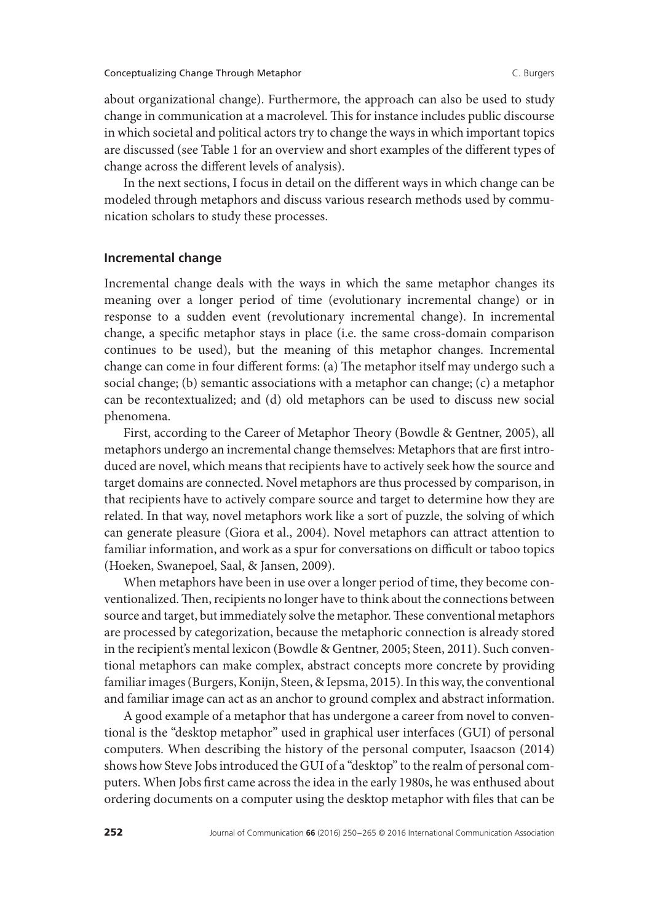about organizational change). Furthermore, the approach can also be used to study change in communication at a macrolevel. This for instance includes public discourse in which societal and political actors try to change the ways in which important topics are discussed (see Table 1 for an overview and short examples of the different types of change across the different levels of analysis).

In the next sections, I focus in detail on the different ways in which change can be modeled through metaphors and discuss various research methods used by communication scholars to study these processes.

### **Incremental change**

Incremental change deals with the ways in which the same metaphor changes its meaning over a longer period of time (evolutionary incremental change) or in response to a sudden event (revolutionary incremental change). In incremental change, a specific metaphor stays in place (i.e. the same cross-domain comparison continues to be used), but the meaning of this metaphor changes. Incremental change can come in four different forms: (a) The metaphor itself may undergo such a social change; (b) semantic associations with a metaphor can change; (c) a metaphor can be recontextualized; and (d) old metaphors can be used to discuss new social phenomena.

First, according to the Career of Metaphor Theory (Bowdle & Gentner, 2005), all metaphors undergo an incremental change themselves: Metaphors that are first introduced are novel, which means that recipients have to actively seek how the source and target domains are connected. Novel metaphors are thus processed by comparison, in that recipients have to actively compare source and target to determine how they are related. In that way, novel metaphors work like a sort of puzzle, the solving of which can generate pleasure (Giora et al., 2004). Novel metaphors can attract attention to familiar information, and work as a spur for conversations on difficult or taboo topics (Hoeken, Swanepoel, Saal, & Jansen, 2009).

When metaphors have been in use over a longer period of time, they become conventionalized.Then, recipients no longer have to think about the connections between source and target, but immediately solve the metaphor. These conventional metaphors are processed by categorization, because the metaphoric connection is already stored in the recipient's mental lexicon (Bowdle & Gentner, 2005; Steen, 2011). Such conventional metaphors can make complex, abstract concepts more concrete by providing familiar images (Burgers, Konijn, Steen, & Iepsma, 2015). In this way, the conventional and familiar image can act as an anchor to ground complex and abstract information.

A good example of a metaphor that has undergone a career from novel to conventional is the "desktop metaphor" used in graphical user interfaces (GUI) of personal computers. When describing the history of the personal computer, Isaacson (2014) shows how Steve Jobs introduced the GUI of a "desktop" to the realm of personal computers. When Jobs first came across the idea in the early 1980s, he was enthused about ordering documents on a computer using the desktop metaphor with files that can be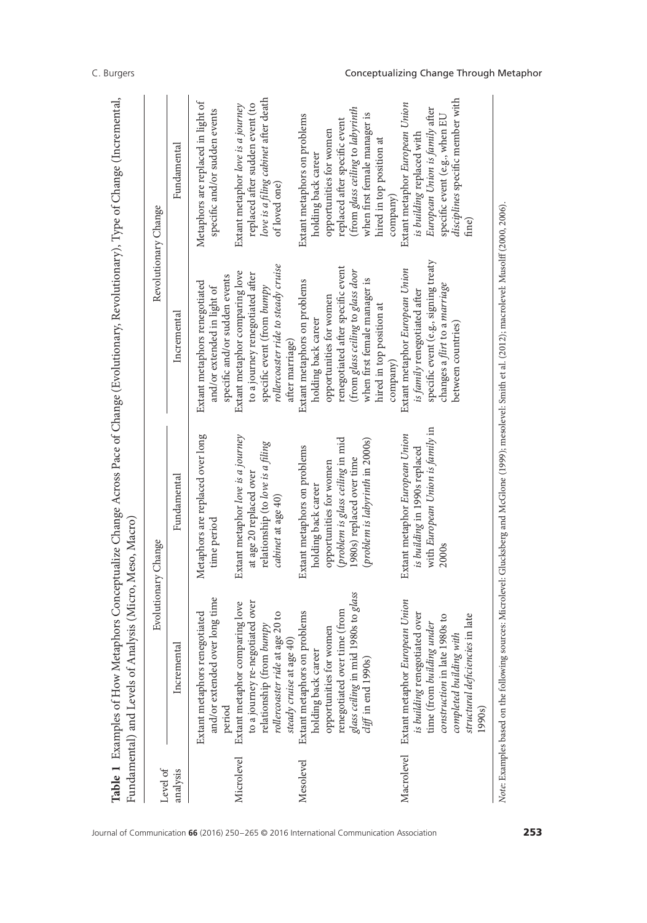| Level of   |                                                                                                                                                                                                           | Evolutionary Change                                                                                                         |                                                                                                                                                               | Revolutionary Change                                                                                                                                                        |
|------------|-----------------------------------------------------------------------------------------------------------------------------------------------------------------------------------------------------------|-----------------------------------------------------------------------------------------------------------------------------|---------------------------------------------------------------------------------------------------------------------------------------------------------------|-----------------------------------------------------------------------------------------------------------------------------------------------------------------------------|
| analysis   | Incremental                                                                                                                                                                                               | Fundamental                                                                                                                 | Incremental                                                                                                                                                   | Fundamental                                                                                                                                                                 |
|            | and/or extended over long time<br>Extant metaphors renegotiated<br>period                                                                                                                                 | Metaphors are replaced over long<br>time period                                                                             | specific and/or sudden events<br>Extant metaphors renegotiated<br>and/or extended in light of                                                                 | Metaphors are replaced in light of<br>specific and/or sudden events                                                                                                         |
| Microlevel | to a journey re-negotiated over<br>Extant metaphor comparing love<br>relationship (from bumpy                                                                                                             | Extant metaphor love is a journey<br>relationship (to love is a filing<br>at age 20 replaced over                           | Extant metaphor comparing love<br>to a journey renegotiated after<br>specific event (from bumpy                                                               | love is a filing cabinet after death<br>replaced after sudden event (to<br>Extant metaphor love is a journey                                                                |
|            | rollercoaster ride at age 20 to<br>steady cruise at age 40                                                                                                                                                | cabinet at age 40)                                                                                                          | rollercoaster ride to steady cruise<br>after marriage)                                                                                                        | of loved one)                                                                                                                                                               |
| Mesolevel  | Extant metaphors on problems<br>holding back career                                                                                                                                                       | Extant metaphors on problems<br>holding back career                                                                         | Extant metaphors on problems<br>holding back career                                                                                                           | Extant metaphors on problems<br>holding back career                                                                                                                         |
|            | glass ceiling in mid 1980s to glass<br>renegotiated over time (from<br>opportunities for women<br>$\emph{cliff}$ in end 1990s)                                                                            | (problem is glass ceiling in mid<br>(problem is labyrinth in 2000s)<br>1980s) replaced over time<br>opportunities for women | renegotiated after specific event<br>(from glass ceiling to glass door<br>when first female manager is<br>opportunities for women                             | (from glass ceiling to labyrinth<br>when first female manager is<br>replaced after specific event<br>opportunities for women                                                |
|            |                                                                                                                                                                                                           |                                                                                                                             | hired in top position at<br>company                                                                                                                           | hired in top position at<br>company                                                                                                                                         |
| Macrolevel | Extant metaphor European Union<br>is building renegotiated over<br>structural deficiencies in late<br>ate 1980s to<br>time (from building under<br>completed building with<br>construction in 1<br>1990s) | with European Union is family in<br>Extant metaphor European Union<br>is building in 1990s replaced<br>2000s                | specific event (e.g., signing treaty<br>Extant metaphor European Union<br>changes a flirt to a marriage<br>is family renegotiated after<br>between countries) | disciplines specific member with<br>Extant metaphor European Union<br>European Union is family after<br>specific event (e.g., when EU<br>is building replaced with<br>fine) |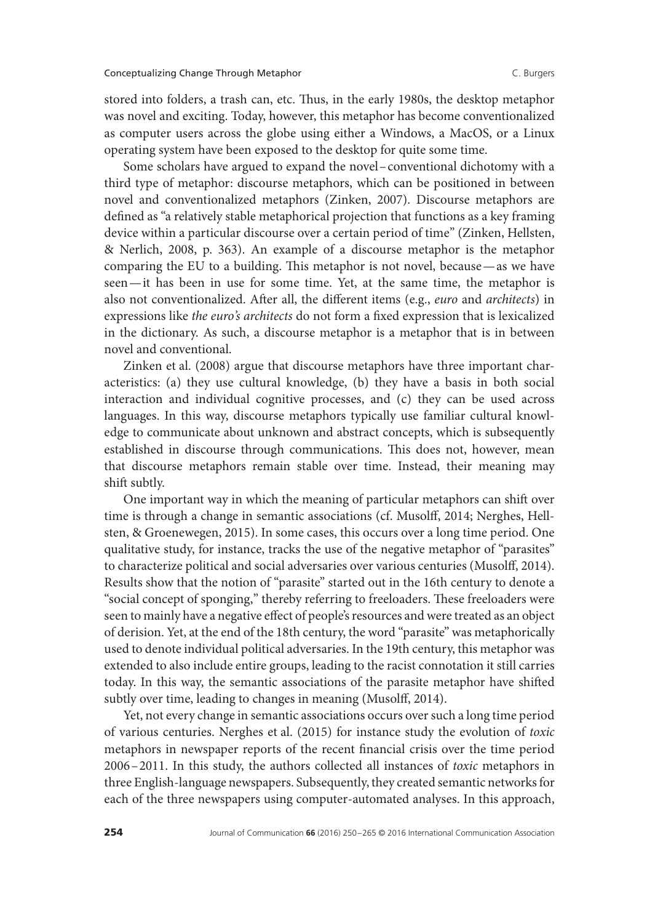stored into folders, a trash can, etc. Thus, in the early 1980s, the desktop metaphor was novel and exciting. Today, however, this metaphor has become conventionalized as computer users across the globe using either a Windows, a MacOS, or a Linux operating system have been exposed to the desktop for quite some time.

Some scholars have argued to expand the novel–conventional dichotomy with a third type of metaphor: discourse metaphors, which can be positioned in between novel and conventionalized metaphors (Zinken, 2007). Discourse metaphors are defined as "a relatively stable metaphorical projection that functions as a key framing device within a particular discourse over a certain period of time" (Zinken, Hellsten, & Nerlich, 2008, p. 363). An example of a discourse metaphor is the metaphor comparing the EU to a building. This metaphor is not novel, because—as we have seen—it has been in use for some time. Yet, at the same time, the metaphor is also not conventionalized. After all, the different items (e.g., *euro* and *architects*) in expressions like *the euro's architects* do not form a fixed expression that is lexicalized in the dictionary. As such, a discourse metaphor is a metaphor that is in between novel and conventional.

Zinken et al. (2008) argue that discourse metaphors have three important characteristics: (a) they use cultural knowledge, (b) they have a basis in both social interaction and individual cognitive processes, and (c) they can be used across languages. In this way, discourse metaphors typically use familiar cultural knowledge to communicate about unknown and abstract concepts, which is subsequently established in discourse through communications. This does not, however, mean that discourse metaphors remain stable over time. Instead, their meaning may shift subtly.

One important way in which the meaning of particular metaphors can shift over time is through a change in semantic associations (cf. Musolff, 2014; Nerghes, Hellsten, & Groenewegen, 2015). In some cases, this occurs over a long time period. One qualitative study, for instance, tracks the use of the negative metaphor of "parasites" to characterize political and social adversaries over various centuries (Musolff, 2014). Results show that the notion of "parasite" started out in the 16th century to denote a "social concept of sponging," thereby referring to freeloaders. These freeloaders were seen to mainly have a negative effect of people's resources and were treated as an object of derision. Yet, at the end of the 18th century, the word "parasite" was metaphorically used to denote individual political adversaries. In the 19th century, this metaphor was extended to also include entire groups, leading to the racist connotation it still carries today. In this way, the semantic associations of the parasite metaphor have shifted subtly over time, leading to changes in meaning (Musolff, 2014).

Yet, not every change in semantic associations occurs over such a long time period of various centuries. Nerghes et al. (2015) for instance study the evolution of *toxic* metaphors in newspaper reports of the recent financial crisis over the time period 2006–2011. In this study, the authors collected all instances of *toxic* metaphors in three English-language newspapers. Subsequently, they created semantic networks for each of the three newspapers using computer-automated analyses. In this approach,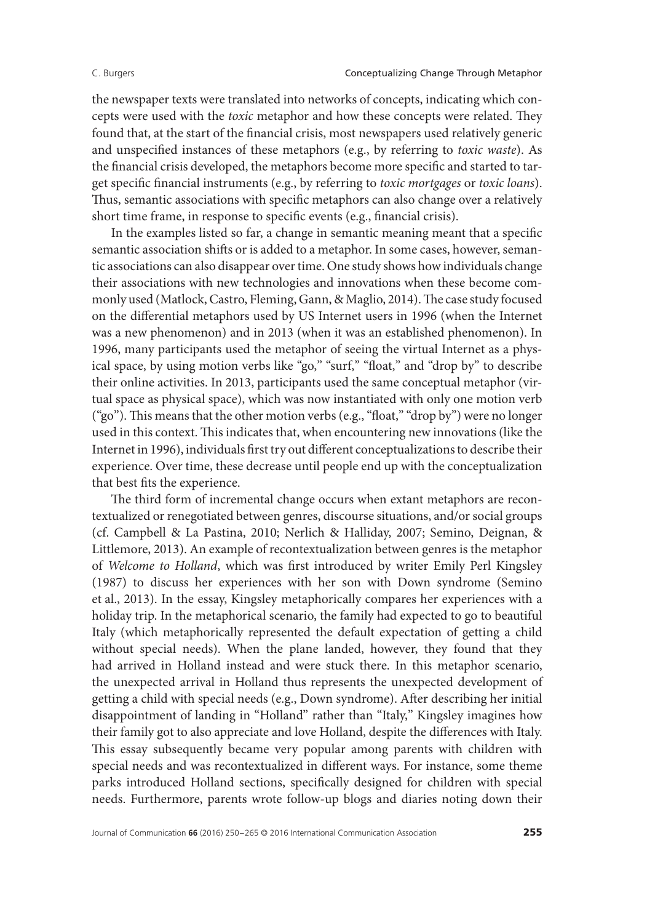the newspaper texts were translated into networks of concepts, indicating which concepts were used with the *toxic* metaphor and how these concepts were related. They found that, at the start of the financial crisis, most newspapers used relatively generic and unspecified instances of these metaphors (e.g., by referring to *toxic waste*). As the financial crisis developed, the metaphors become more specific and started to target specific financial instruments (e.g., by referring to *toxic mortgages* or *toxic loans*). Thus, semantic associations with specific metaphors can also change over a relatively short time frame, in response to specific events (e.g., financial crisis).

In the examples listed so far, a change in semantic meaning meant that a specific semantic association shifts or is added to a metaphor. In some cases, however, semantic associations can also disappear over time. One study shows how individuals change their associations with new technologies and innovations when these become commonly used (Matlock, Castro, Fleming, Gann, & Maglio, 2014). The case study focused on the differential metaphors used by US Internet users in 1996 (when the Internet was a new phenomenon) and in 2013 (when it was an established phenomenon). In 1996, many participants used the metaphor of seeing the virtual Internet as a physical space, by using motion verbs like "go," "surf," "float," and "drop by" to describe their online activities. In 2013, participants used the same conceptual metaphor (virtual space as physical space), which was now instantiated with only one motion verb ("go"). This means that the other motion verbs (e.g., "float," "drop by") were no longer used in this context. This indicates that, when encountering new innovations (like the Internet in 1996), individuals first try out different conceptualizations to describe their experience. Over time, these decrease until people end up with the conceptualization that best fits the experience.

The third form of incremental change occurs when extant metaphors are recontextualized or renegotiated between genres, discourse situations, and/or social groups (cf. Campbell & La Pastina, 2010; Nerlich & Halliday, 2007; Semino, Deignan, & Littlemore, 2013). An example of recontextualization between genres is the metaphor of *Welcome to Holland*, which was first introduced by writer Emily Perl Kingsley (1987) to discuss her experiences with her son with Down syndrome (Semino et al., 2013). In the essay, Kingsley metaphorically compares her experiences with a holiday trip. In the metaphorical scenario, the family had expected to go to beautiful Italy (which metaphorically represented the default expectation of getting a child without special needs). When the plane landed, however, they found that they had arrived in Holland instead and were stuck there. In this metaphor scenario, the unexpected arrival in Holland thus represents the unexpected development of getting a child with special needs (e.g., Down syndrome). After describing her initial disappointment of landing in "Holland" rather than "Italy," Kingsley imagines how their family got to also appreciate and love Holland, despite the differences with Italy. This essay subsequently became very popular among parents with children with special needs and was recontextualized in different ways. For instance, some theme parks introduced Holland sections, specifically designed for children with special needs. Furthermore, parents wrote follow-up blogs and diaries noting down their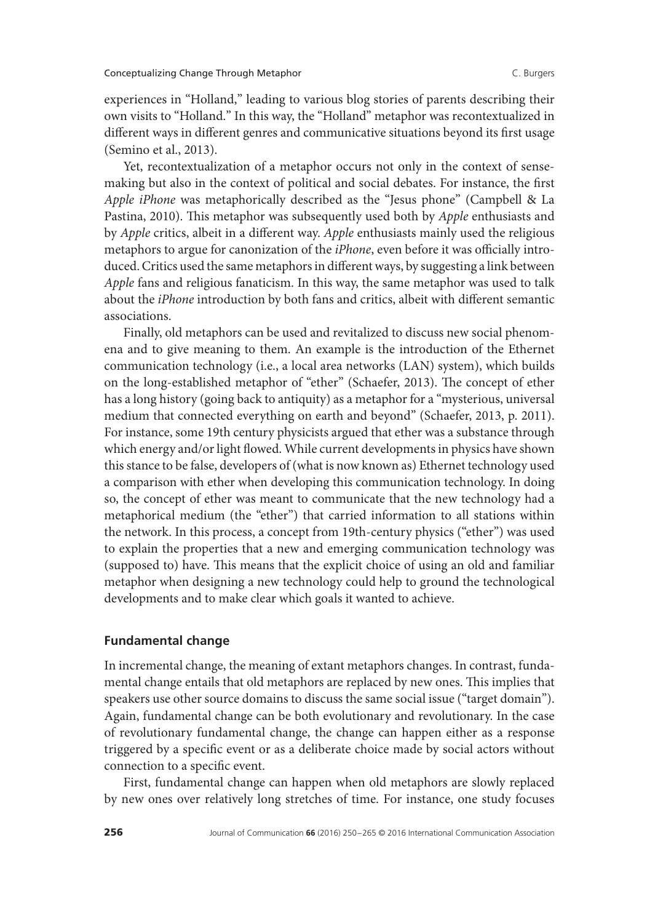experiences in "Holland," leading to various blog stories of parents describing their own visits to "Holland." In this way, the "Holland" metaphor was recontextualized in different ways in different genres and communicative situations beyond its first usage (Semino et al., 2013).

Yet, recontextualization of a metaphor occurs not only in the context of sensemaking but also in the context of political and social debates. For instance, the first *Apple iPhone* was metaphorically described as the "Jesus phone" (Campbell & La Pastina, 2010). This metaphor was subsequently used both by *Apple* enthusiasts and by *Apple* critics, albeit in a different way. *Apple* enthusiasts mainly used the religious metaphors to argue for canonization of the *iPhone*, even before it was officially introduced. Critics used the same metaphors in different ways, by suggesting a link between *Apple* fans and religious fanaticism. In this way, the same metaphor was used to talk about the *iPhone* introduction by both fans and critics, albeit with different semantic associations.

Finally, old metaphors can be used and revitalized to discuss new social phenomena and to give meaning to them. An example is the introduction of the Ethernet communication technology (i.e., a local area networks (LAN) system), which builds on the long-established metaphor of "ether" (Schaefer, 2013). The concept of ether has a long history (going back to antiquity) as a metaphor for a "mysterious, universal medium that connected everything on earth and beyond" (Schaefer, 2013, p. 2011). For instance, some 19th century physicists argued that ether was a substance through which energy and/or light flowed. While current developments in physics have shown this stance to be false, developers of (what is now known as) Ethernet technology used a comparison with ether when developing this communication technology. In doing so, the concept of ether was meant to communicate that the new technology had a metaphorical medium (the "ether") that carried information to all stations within the network. In this process, a concept from 19th-century physics ("ether") was used to explain the properties that a new and emerging communication technology was (supposed to) have. This means that the explicit choice of using an old and familiar metaphor when designing a new technology could help to ground the technological developments and to make clear which goals it wanted to achieve.

# **Fundamental change**

In incremental change, the meaning of extant metaphors changes. In contrast, fundamental change entails that old metaphors are replaced by new ones. This implies that speakers use other source domains to discuss the same social issue ("target domain"). Again, fundamental change can be both evolutionary and revolutionary. In the case of revolutionary fundamental change, the change can happen either as a response triggered by a specific event or as a deliberate choice made by social actors without connection to a specific event.

First, fundamental change can happen when old metaphors are slowly replaced by new ones over relatively long stretches of time. For instance, one study focuses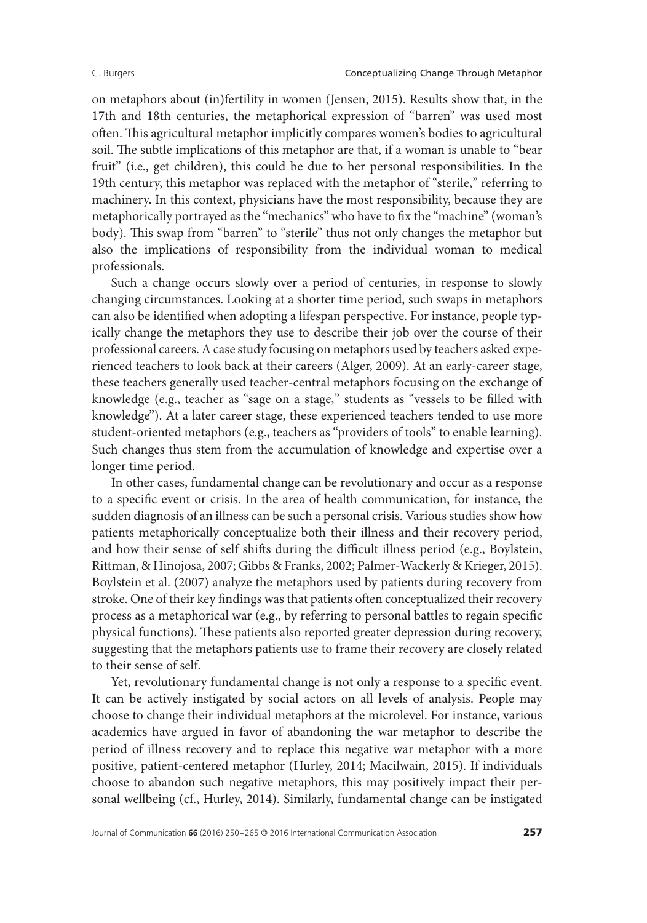on metaphors about (in)fertility in women (Jensen, 2015). Results show that, in the 17th and 18th centuries, the metaphorical expression of "barren" was used most often. This agricultural metaphor implicitly compares women's bodies to agricultural soil. The subtle implications of this metaphor are that, if a woman is unable to "bear fruit" (i.e., get children), this could be due to her personal responsibilities. In the 19th century, this metaphor was replaced with the metaphor of "sterile," referring to machinery. In this context, physicians have the most responsibility, because they are metaphorically portrayed as the "mechanics" who have to fix the "machine" (woman's body). This swap from "barren" to "sterile" thus not only changes the metaphor but also the implications of responsibility from the individual woman to medical professionals.

Such a change occurs slowly over a period of centuries, in response to slowly changing circumstances. Looking at a shorter time period, such swaps in metaphors can also be identified when adopting a lifespan perspective. For instance, people typically change the metaphors they use to describe their job over the course of their professional careers. A case study focusing on metaphors used by teachers asked experienced teachers to look back at their careers (Alger, 2009). At an early-career stage, these teachers generally used teacher-central metaphors focusing on the exchange of knowledge (e.g., teacher as "sage on a stage," students as "vessels to be filled with knowledge"). At a later career stage, these experienced teachers tended to use more student-oriented metaphors (e.g., teachers as "providers of tools" to enable learning). Such changes thus stem from the accumulation of knowledge and expertise over a longer time period.

In other cases, fundamental change can be revolutionary and occur as a response to a specific event or crisis. In the area of health communication, for instance, the sudden diagnosis of an illness can be such a personal crisis. Various studies show how patients metaphorically conceptualize both their illness and their recovery period, and how their sense of self shifts during the difficult illness period (e.g., Boylstein, Rittman, & Hinojosa, 2007; Gibbs & Franks, 2002; Palmer-Wackerly & Krieger, 2015). Boylstein et al. (2007) analyze the metaphors used by patients during recovery from stroke. One of their key findings was that patients often conceptualized their recovery process as a metaphorical war (e.g., by referring to personal battles to regain specific physical functions). These patients also reported greater depression during recovery, suggesting that the metaphors patients use to frame their recovery are closely related to their sense of self.

Yet, revolutionary fundamental change is not only a response to a specific event. It can be actively instigated by social actors on all levels of analysis. People may choose to change their individual metaphors at the microlevel. For instance, various academics have argued in favor of abandoning the war metaphor to describe the period of illness recovery and to replace this negative war metaphor with a more positive, patient-centered metaphor (Hurley, 2014; Macilwain, 2015). If individuals choose to abandon such negative metaphors, this may positively impact their personal wellbeing (cf., Hurley, 2014). Similarly, fundamental change can be instigated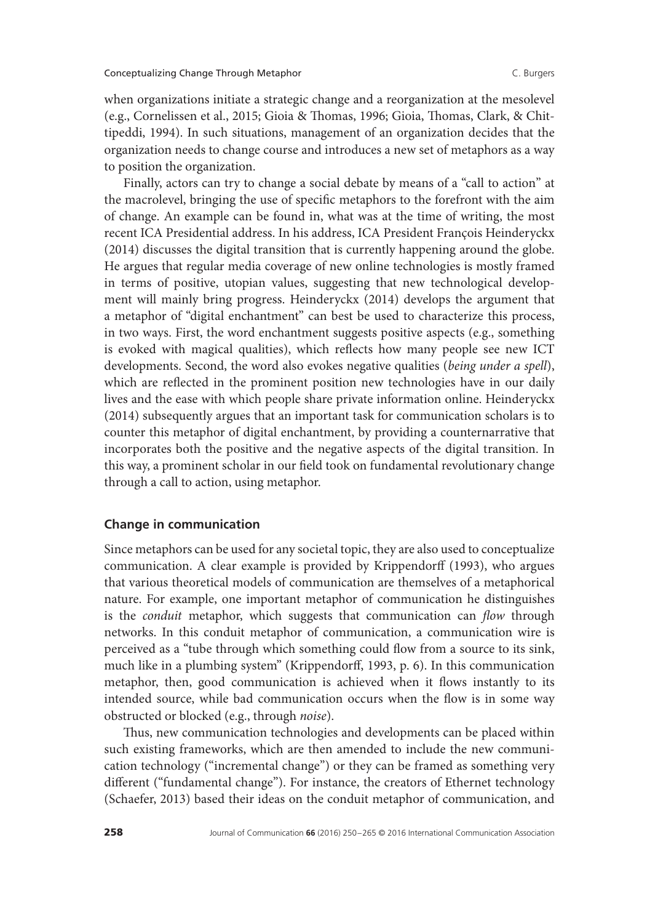when organizations initiate a strategic change and a reorganization at the mesolevel (e.g., Cornelissen et al., 2015; Gioia & Thomas, 1996; Gioia, Thomas, Clark, & Chittipeddi, 1994). In such situations, management of an organization decides that the organization needs to change course and introduces a new set of metaphors as a way to position the organization.

Finally, actors can try to change a social debate by means of a "call to action" at the macrolevel, bringing the use of specific metaphors to the forefront with the aim of change. An example can be found in, what was at the time of writing, the most recent ICA Presidential address. In his address, ICA President François Heinderyckx (2014) discusses the digital transition that is currently happening around the globe. He argues that regular media coverage of new online technologies is mostly framed in terms of positive, utopian values, suggesting that new technological development will mainly bring progress. Heinderyckx (2014) develops the argument that a metaphor of "digital enchantment" can best be used to characterize this process, in two ways. First, the word enchantment suggests positive aspects (e.g., something is evoked with magical qualities), which reflects how many people see new ICT developments. Second, the word also evokes negative qualities (*being under a spell*), which are reflected in the prominent position new technologies have in our daily lives and the ease with which people share private information online. Heinderyckx (2014) subsequently argues that an important task for communication scholars is to counter this metaphor of digital enchantment, by providing a counternarrative that incorporates both the positive and the negative aspects of the digital transition. In this way, a prominent scholar in our field took on fundamental revolutionary change through a call to action, using metaphor.

### **Change in communication**

Since metaphors can be used for any societal topic, they are also used to conceptualize communication. A clear example is provided by Krippendorff (1993), who argues that various theoretical models of communication are themselves of a metaphorical nature. For example, one important metaphor of communication he distinguishes is the *conduit* metaphor, which suggests that communication can *flow* through networks. In this conduit metaphor of communication, a communication wire is perceived as a "tube through which something could flow from a source to its sink, much like in a plumbing system" (Krippendorff, 1993, p. 6). In this communication metaphor, then, good communication is achieved when it flows instantly to its intended source, while bad communication occurs when the flow is in some way obstructed or blocked (e.g., through *noise*).

Thus, new communication technologies and developments can be placed within such existing frameworks, which are then amended to include the new communication technology ("incremental change") or they can be framed as something very different ("fundamental change"). For instance, the creators of Ethernet technology (Schaefer, 2013) based their ideas on the conduit metaphor of communication, and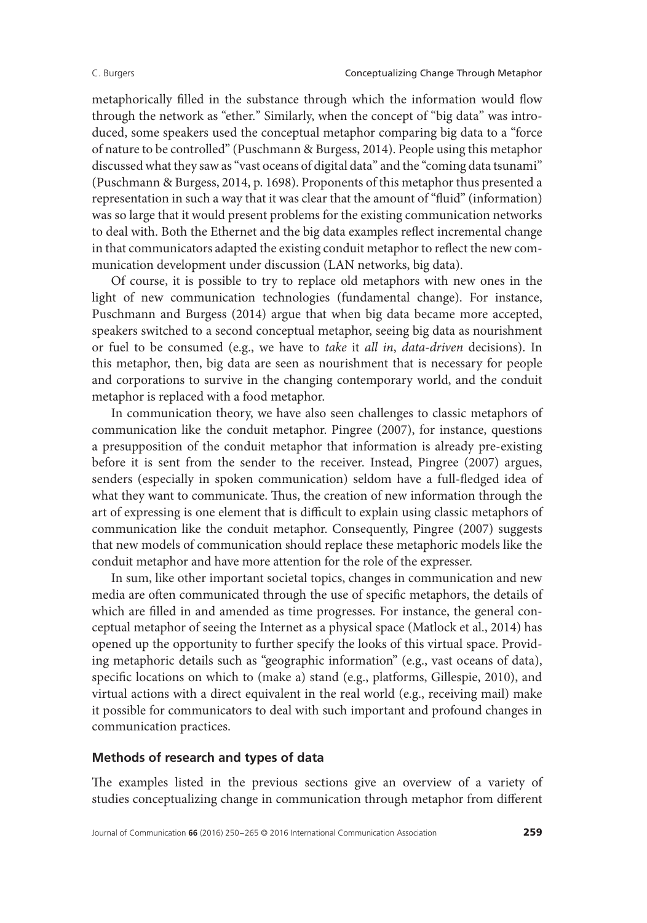metaphorically filled in the substance through which the information would flow through the network as "ether." Similarly, when the concept of "big data" was introduced, some speakers used the conceptual metaphor comparing big data to a "force of nature to be controlled" (Puschmann & Burgess, 2014). People using this metaphor discussed what they saw as "vast oceans of digital data" and the "coming data tsunami" (Puschmann & Burgess, 2014, p. 1698). Proponents of this metaphor thus presented a representation in such a way that it was clear that the amount of "fluid" (information) was so large that it would present problems for the existing communication networks to deal with. Both the Ethernet and the big data examples reflect incremental change in that communicators adapted the existing conduit metaphor to reflect the new communication development under discussion (LAN networks, big data).

Of course, it is possible to try to replace old metaphors with new ones in the light of new communication technologies (fundamental change). For instance, Puschmann and Burgess (2014) argue that when big data became more accepted, speakers switched to a second conceptual metaphor, seeing big data as nourishment or fuel to be consumed (e.g., we have to *take* it *all in*, *data-driven* decisions). In this metaphor, then, big data are seen as nourishment that is necessary for people and corporations to survive in the changing contemporary world, and the conduit metaphor is replaced with a food metaphor.

In communication theory, we have also seen challenges to classic metaphors of communication like the conduit metaphor. Pingree (2007), for instance, questions a presupposition of the conduit metaphor that information is already pre-existing before it is sent from the sender to the receiver. Instead, Pingree (2007) argues, senders (especially in spoken communication) seldom have a full-fledged idea of what they want to communicate. Thus, the creation of new information through the art of expressing is one element that is difficult to explain using classic metaphors of communication like the conduit metaphor. Consequently, Pingree (2007) suggests that new models of communication should replace these metaphoric models like the conduit metaphor and have more attention for the role of the expresser.

In sum, like other important societal topics, changes in communication and new media are often communicated through the use of specific metaphors, the details of which are filled in and amended as time progresses. For instance, the general conceptual metaphor of seeing the Internet as a physical space (Matlock et al., 2014) has opened up the opportunity to further specify the looks of this virtual space. Providing metaphoric details such as "geographic information" (e.g., vast oceans of data), specific locations on which to (make a) stand (e.g., platforms, Gillespie, 2010), and virtual actions with a direct equivalent in the real world (e.g., receiving mail) make it possible for communicators to deal with such important and profound changes in communication practices.

# **Methods of research and types of data**

The examples listed in the previous sections give an overview of a variety of studies conceptualizing change in communication through metaphor from different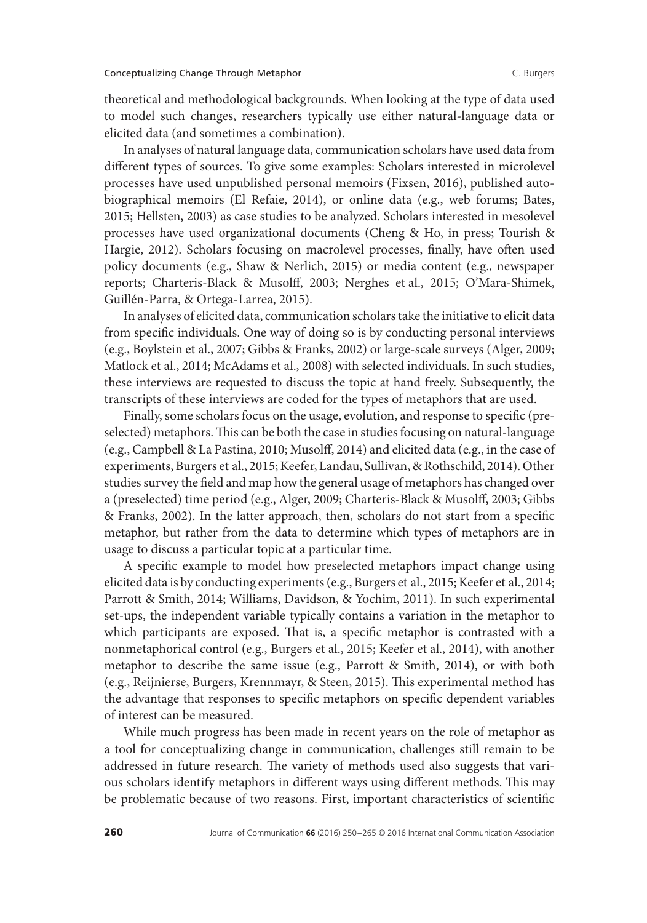theoretical and methodological backgrounds. When looking at the type of data used to model such changes, researchers typically use either natural-language data or elicited data (and sometimes a combination).

In analyses of natural language data, communication scholars have used data from different types of sources. To give some examples: Scholars interested in microlevel processes have used unpublished personal memoirs (Fixsen, 2016), published autobiographical memoirs (El Refaie, 2014), or online data (e.g., web forums; Bates, 2015; Hellsten, 2003) as case studies to be analyzed. Scholars interested in mesolevel processes have used organizational documents (Cheng & Ho, in press; Tourish & Hargie, 2012). Scholars focusing on macrolevel processes, finally, have often used policy documents (e.g., Shaw & Nerlich, 2015) or media content (e.g., newspaper reports; Charteris-Black & Musolff, 2003; Nerghes et al., 2015; O'Mara-Shimek, Guillén-Parra, & Ortega-Larrea, 2015).

In analyses of elicited data, communication scholars take the initiative to elicit data from specific individuals. One way of doing so is by conducting personal interviews (e.g., Boylstein et al., 2007; Gibbs & Franks, 2002) or large-scale surveys (Alger, 2009; Matlock et al., 2014; McAdams et al., 2008) with selected individuals. In such studies, these interviews are requested to discuss the topic at hand freely. Subsequently, the transcripts of these interviews are coded for the types of metaphors that are used.

Finally, some scholars focus on the usage, evolution, and response to specific (preselected) metaphors.This can be both the case in studies focusing on natural-language (e.g., Campbell & La Pastina, 2010; Musolff, 2014) and elicited data (e.g., in the case of experiments, Burgers et al., 2015; Keefer, Landau, Sullivan, & Rothschild, 2014). Other studies survey the field and map how the general usage of metaphors has changed over a (preselected) time period (e.g., Alger, 2009; Charteris-Black & Musolff, 2003; Gibbs & Franks, 2002). In the latter approach, then, scholars do not start from a specific metaphor, but rather from the data to determine which types of metaphors are in usage to discuss a particular topic at a particular time.

A specific example to model how preselected metaphors impact change using elicited data is by conducting experiments (e.g., Burgers et al., 2015; Keefer et al., 2014; Parrott & Smith, 2014; Williams, Davidson, & Yochim, 2011). In such experimental set-ups, the independent variable typically contains a variation in the metaphor to which participants are exposed. That is, a specific metaphor is contrasted with a nonmetaphorical control (e.g., Burgers et al., 2015; Keefer et al., 2014), with another metaphor to describe the same issue (e.g., Parrott & Smith, 2014), or with both (e.g., Reijnierse, Burgers, Krennmayr, & Steen, 2015). This experimental method has the advantage that responses to specific metaphors on specific dependent variables of interest can be measured.

While much progress has been made in recent years on the role of metaphor as a tool for conceptualizing change in communication, challenges still remain to be addressed in future research. The variety of methods used also suggests that various scholars identify metaphors in different ways using different methods. This may be problematic because of two reasons. First, important characteristics of scientific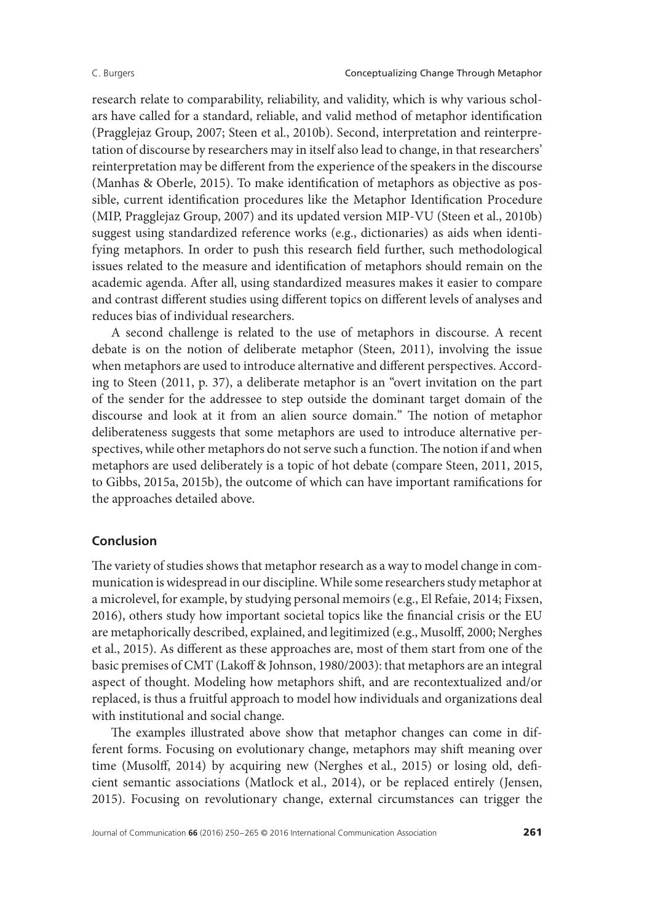research relate to comparability, reliability, and validity, which is why various scholars have called for a standard, reliable, and valid method of metaphor identification (Pragglejaz Group, 2007; Steen et al., 2010b). Second, interpretation and reinterpretation of discourse by researchers may in itself also lead to change, in that researchers' reinterpretation may be different from the experience of the speakers in the discourse (Manhas & Oberle, 2015). To make identification of metaphors as objective as possible, current identification procedures like the Metaphor Identification Procedure (MIP, Pragglejaz Group, 2007) and its updated version MIP-VU (Steen et al., 2010b) suggest using standardized reference works (e.g., dictionaries) as aids when identifying metaphors. In order to push this research field further, such methodological issues related to the measure and identification of metaphors should remain on the academic agenda. After all, using standardized measures makes it easier to compare and contrast different studies using different topics on different levels of analyses and reduces bias of individual researchers.

A second challenge is related to the use of metaphors in discourse. A recent debate is on the notion of deliberate metaphor (Steen, 2011), involving the issue when metaphors are used to introduce alternative and different perspectives. According to Steen (2011, p. 37), a deliberate metaphor is an "overt invitation on the part of the sender for the addressee to step outside the dominant target domain of the discourse and look at it from an alien source domain." The notion of metaphor deliberateness suggests that some metaphors are used to introduce alternative perspectives, while other metaphors do not serve such a function.The notion if and when metaphors are used deliberately is a topic of hot debate (compare Steen, 2011, 2015, to Gibbs, 2015a, 2015b), the outcome of which can have important ramifications for the approaches detailed above.

# **Conclusion**

The variety of studies shows that metaphor research as a way to model change in communication is widespread in our discipline.While some researchers study metaphor at a microlevel, for example, by studying personal memoirs (e.g., El Refaie, 2014; Fixsen, 2016), others study how important societal topics like the financial crisis or the EU are metaphorically described, explained, and legitimized (e.g., Musolff, 2000; Nerghes et al., 2015). As different as these approaches are, most of them start from one of the basic premises of CMT (Lakoff & Johnson, 1980/2003): that metaphors are an integral aspect of thought. Modeling how metaphors shift, and are recontextualized and/or replaced, is thus a fruitful approach to model how individuals and organizations deal with institutional and social change.

The examples illustrated above show that metaphor changes can come in different forms. Focusing on evolutionary change, metaphors may shift meaning over time (Musolff, 2014) by acquiring new (Nerghes et al., 2015) or losing old, deficient semantic associations (Matlock et al., 2014), or be replaced entirely (Jensen, 2015). Focusing on revolutionary change, external circumstances can trigger the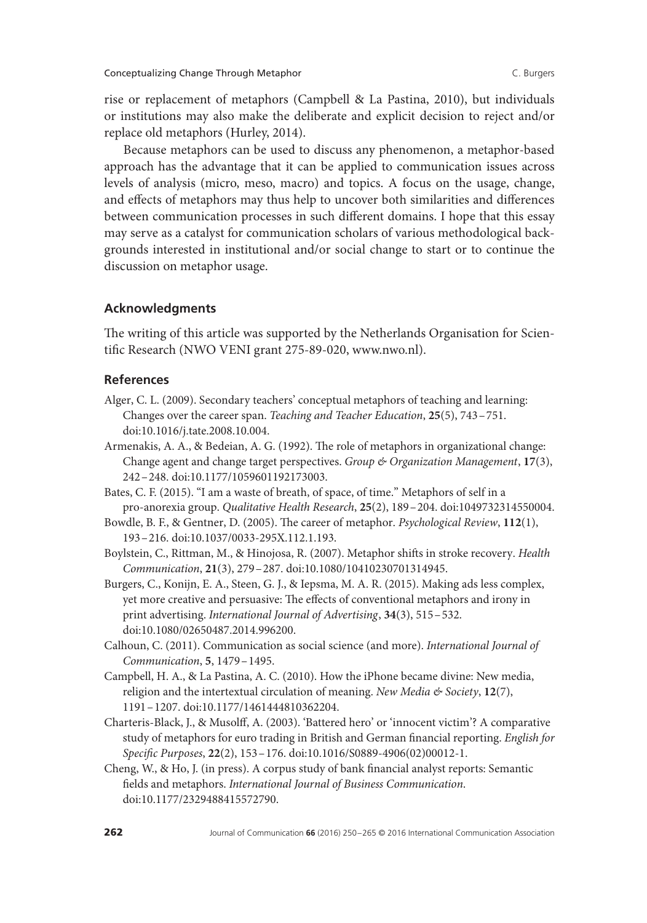rise or replacement of metaphors (Campbell & La Pastina, 2010), but individuals or institutions may also make the deliberate and explicit decision to reject and/or replace old metaphors (Hurley, 2014).

Because metaphors can be used to discuss any phenomenon, a metaphor-based approach has the advantage that it can be applied to communication issues across levels of analysis (micro, meso, macro) and topics. A focus on the usage, change, and effects of metaphors may thus help to uncover both similarities and differences between communication processes in such different domains. I hope that this essay may serve as a catalyst for communication scholars of various methodological backgrounds interested in institutional and/or social change to start or to continue the discussion on metaphor usage.

# **Acknowledgments**

The writing of this article was supported by the Netherlands Organisation for Scientific Research (NWO VENI grant 275-89-020, www.nwo.nl).

# **References**

- Alger, C. L. (2009). Secondary teachers' conceptual metaphors of teaching and learning: Changes over the career span. *Teaching and Teacher Education*, **25**(5), 743–751. doi:10.1016/j.tate.2008.10.004.
- Armenakis, A. A., & Bedeian, A. G. (1992). The role of metaphors in organizational change: Change agent and change target perspectives. *Group & Organization Management*, **17**(3), 242–248. doi:10.1177/1059601192173003.
- Bates, C. F. (2015). "I am a waste of breath, of space, of time." Metaphors of self in a pro-anorexia group. *Qualitative Health Research*, **25**(2), 189–204. doi:1049732314550004.
- Bowdle, B. F., & Gentner, D. (2005). The career of metaphor. *Psychological Review*, **112**(1), 193–216. doi:10.1037/0033-295X.112.1.193.
- Boylstein, C., Rittman, M., & Hinojosa, R. (2007). Metaphor shifts in stroke recovery. *Health Communication*, **21**(3), 279–287. doi:10.1080/10410230701314945.
- Burgers, C., Konijn, E. A., Steen, G. J., & Iepsma, M. A. R. (2015). Making ads less complex, yet more creative and persuasive: The effects of conventional metaphors and irony in print advertising. *International Journal of Advertising*, **34**(3), 515–532. doi:10.1080/02650487.2014.996200.
- Calhoun, C. (2011). Communication as social science (and more). *International Journal of Communication*, **5**, 1479–1495.
- Campbell, H. A., & La Pastina, A. C. (2010). How the iPhone became divine: New media, religion and the intertextual circulation of meaning. *New Media & Society*, **12**(7), 1191–1207. doi:10.1177/1461444810362204.
- Charteris-Black, J., & Musolff, A. (2003). 'Battered hero' or 'innocent victim'? A comparative study of metaphors for euro trading in British and German financial reporting. *English for Specific Purposes*, **22**(2), 153–176. doi:10.1016/S0889-4906(02)00012-1.
- Cheng, W., & Ho, J. (in press). A corpus study of bank financial analyst reports: Semantic fields and metaphors. *International Journal of Business Communication*. doi:10.1177/2329488415572790.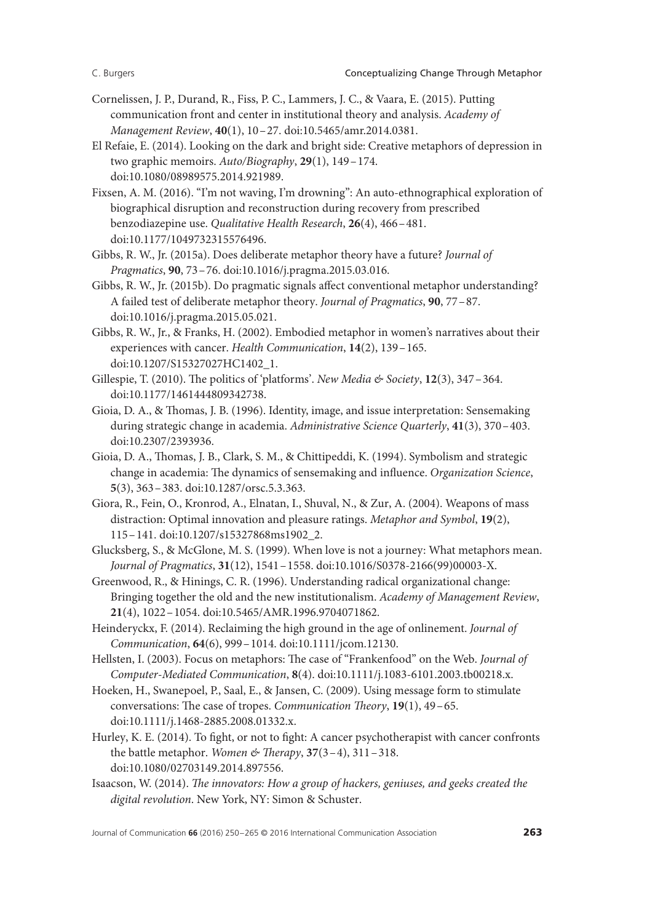- Cornelissen, J. P., Durand, R., Fiss, P. C., Lammers, J. C., & Vaara, E. (2015). Putting communication front and center in institutional theory and analysis. *Academy of Management Review*, **40**(1), 10–27. doi:10.5465/amr.2014.0381.
- El Refaie, E. (2014). Looking on the dark and bright side: Creative metaphors of depression in two graphic memoirs. *Auto/Biography*, **29**(1), 149–174. doi:10.1080/08989575.2014.921989.
- Fixsen, A. M. (2016). "I'm not waving, I'm drowning": An auto-ethnographical exploration of biographical disruption and reconstruction during recovery from prescribed benzodiazepine use. *Qualitative Health Research*, **26**(4), 466–481. doi:10.1177/1049732315576496.
- Gibbs, R. W., Jr. (2015a). Does deliberate metaphor theory have a future? *Journal of Pragmatics*, **90**, 73–76. doi:10.1016/j.pragma.2015.03.016.
- Gibbs, R. W., Jr. (2015b). Do pragmatic signals affect conventional metaphor understanding? A failed test of deliberate metaphor theory. *Journal of Pragmatics*, **90**, 77–87. doi:10.1016/j.pragma.2015.05.021.
- Gibbs, R. W., Jr., & Franks, H. (2002). Embodied metaphor in women's narratives about their experiences with cancer. *Health Communication*, **14**(2), 139–165. doi:10.1207/S15327027HC1402\_1.
- Gillespie, T. (2010). The politics of 'platforms'. *New Media & Society*, **12**(3), 347–364. doi:10.1177/1461444809342738.
- Gioia, D. A., & Thomas, J. B. (1996). Identity, image, and issue interpretation: Sensemaking during strategic change in academia. *Administrative Science Quarterly*, **41**(3), 370–403. doi:10.2307/2393936.
- Gioia, D. A., Thomas, J. B., Clark, S. M., & Chittipeddi, K. (1994). Symbolism and strategic change in academia: The dynamics of sensemaking and influence. *Organization Science*, **5**(3), 363–383. doi:10.1287/orsc.5.3.363.
- Giora, R., Fein, O., Kronrod, A., Elnatan, I., Shuval, N., & Zur, A. (2004). Weapons of mass distraction: Optimal innovation and pleasure ratings. *Metaphor and Symbol*, **19**(2), 115–141. doi:10.1207/s15327868ms1902\_2.
- Glucksberg, S., & McGlone, M. S. (1999). When love is not a journey: What metaphors mean. *Journal of Pragmatics*, **31**(12), 1541–1558. doi:10.1016/S0378-2166(99)00003-X.
- Greenwood, R., & Hinings, C. R. (1996). Understanding radical organizational change: Bringing together the old and the new institutionalism. *Academy of Management Review*, **21**(4), 1022–1054. doi:10.5465/AMR.1996.9704071862.
- Heinderyckx, F. (2014). Reclaiming the high ground in the age of onlinement. *Journal of Communication*, **64**(6), 999–1014. doi:10.1111/jcom.12130.
- Hellsten, I. (2003). Focus on metaphors: The case of "Frankenfood" on the Web. *Journal of Computer-Mediated Communication*, **8**(4). doi:10.1111/j.1083-6101.2003.tb00218.x.
- Hoeken, H., Swanepoel, P., Saal, E., & Jansen, C. (2009). Using message form to stimulate conversations: The case of tropes. *Communication Theory*, **19**(1), 49–65. doi:10.1111/j.1468-2885.2008.01332.x.
- Hurley, K. E. (2014). To fight, or not to fight: A cancer psychotherapist with cancer confronts the battle metaphor. *Women & Therapy*, **37**(3–4), 311–318. doi:10.1080/02703149.2014.897556.
- Isaacson, W. (2014). *The innovators: How a group of hackers, geniuses, and geeks created the digital revolution*. New York, NY: Simon & Schuster.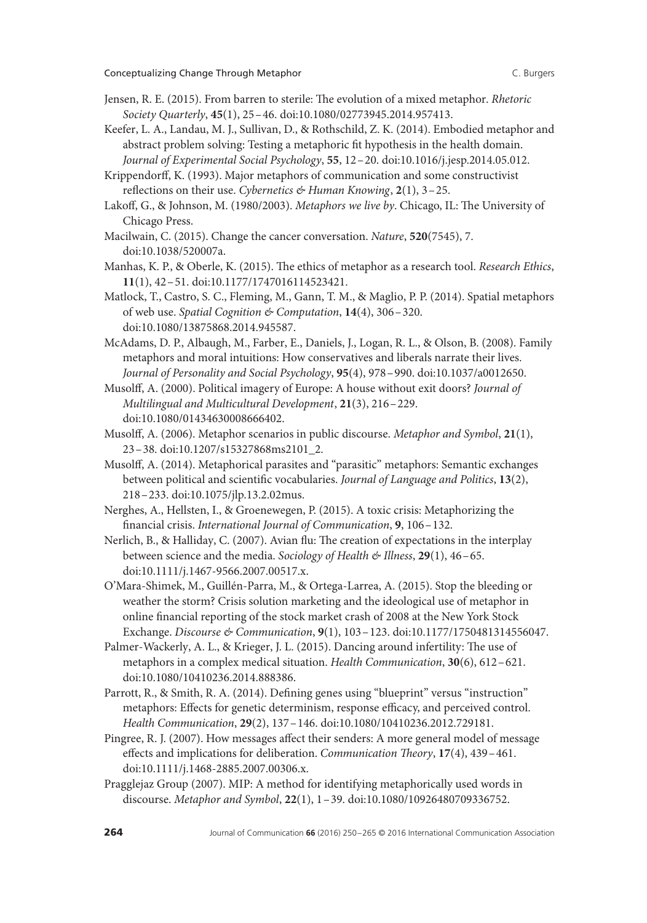- Jensen, R. E. (2015). From barren to sterile: The evolution of a mixed metaphor. *Rhetoric Society Quarterly*, **45**(1), 25–46. doi:10.1080/02773945.2014.957413.
- Keefer, L. A., Landau, M. J., Sullivan, D., & Rothschild, Z. K. (2014). Embodied metaphor and abstract problem solving: Testing a metaphoric fit hypothesis in the health domain. *Journal of Experimental Social Psychology*, **55**, 12–20. doi:10.1016/j.jesp.2014.05.012.
- Krippendorff, K. (1993). Major metaphors of communication and some constructivist reflections on their use. *Cybernetics & Human Knowing*, **2**(1), 3–25.
- Lakoff, G., & Johnson, M. (1980/2003). *Metaphors we live by*. Chicago, IL: The University of Chicago Press.
- Macilwain, C. (2015). Change the cancer conversation. *Nature*, **520**(7545), 7. doi:10.1038/520007a.
- Manhas, K. P., & Oberle, K. (2015). The ethics of metaphor as a research tool. *Research Ethics*, **11**(1), 42–51. doi:10.1177/1747016114523421.
- Matlock, T., Castro, S. C., Fleming, M., Gann, T. M., & Maglio, P. P. (2014). Spatial metaphors of web use. *Spatial Cognition & Computation*, **14**(4), 306–320. doi:10.1080/13875868.2014.945587.
- McAdams, D. P., Albaugh, M., Farber, E., Daniels, J., Logan, R. L., & Olson, B. (2008). Family metaphors and moral intuitions: How conservatives and liberals narrate their lives. *Journal of Personality and Social Psychology*, **95**(4), 978–990. doi:10.1037/a0012650.
- Musolff, A. (2000). Political imagery of Europe: A house without exit doors? *Journal of Multilingual and Multicultural Development*, **21**(3), 216–229. doi:10.1080/01434630008666402.
- Musolff, A. (2006). Metaphor scenarios in public discourse. *Metaphor and Symbol*, **21**(1), 23–38. doi:10.1207/s15327868ms2101\_2.
- Musolff, A. (2014). Metaphorical parasites and "parasitic" metaphors: Semantic exchanges between political and scientific vocabularies. *Journal of Language and Politics*, **13**(2), 218–233. doi:10.1075/jlp.13.2.02mus.
- Nerghes, A., Hellsten, I., & Groenewegen, P. (2015). A toxic crisis: Metaphorizing the financial crisis. *International Journal of Communication*, **9**, 106–132.
- Nerlich, B., & Halliday, C. (2007). Avian flu: The creation of expectations in the interplay between science and the media. *Sociology of Health & Illness*, **29**(1), 46–65. doi:10.1111/j.1467-9566.2007.00517.x.
- O'Mara-Shimek, M., Guillén-Parra, M., & Ortega-Larrea, A. (2015). Stop the bleeding or weather the storm? Crisis solution marketing and the ideological use of metaphor in online financial reporting of the stock market crash of 2008 at the New York Stock Exchange. *Discourse & Communication*, **9**(1), 103–123. doi:10.1177/1750481314556047.
- Palmer-Wackerly, A. L., & Krieger, J. L. (2015). Dancing around infertility: The use of metaphors in a complex medical situation. *Health Communication*, **30**(6), 612–621. doi:10.1080/10410236.2014.888386.
- Parrott, R., & Smith, R. A. (2014). Defining genes using "blueprint" versus "instruction" metaphors: Effects for genetic determinism, response efficacy, and perceived control. *Health Communication*, **29**(2), 137–146. doi:10.1080/10410236.2012.729181.
- Pingree, R. J. (2007). How messages affect their senders: A more general model of message effects and implications for deliberation. *Communication Theory*, **17**(4), 439–461. doi:10.1111/j.1468-2885.2007.00306.x.
- Pragglejaz Group (2007). MIP: A method for identifying metaphorically used words in discourse. *Metaphor and Symbol*, **22**(1), 1–39. doi:10.1080/10926480709336752.